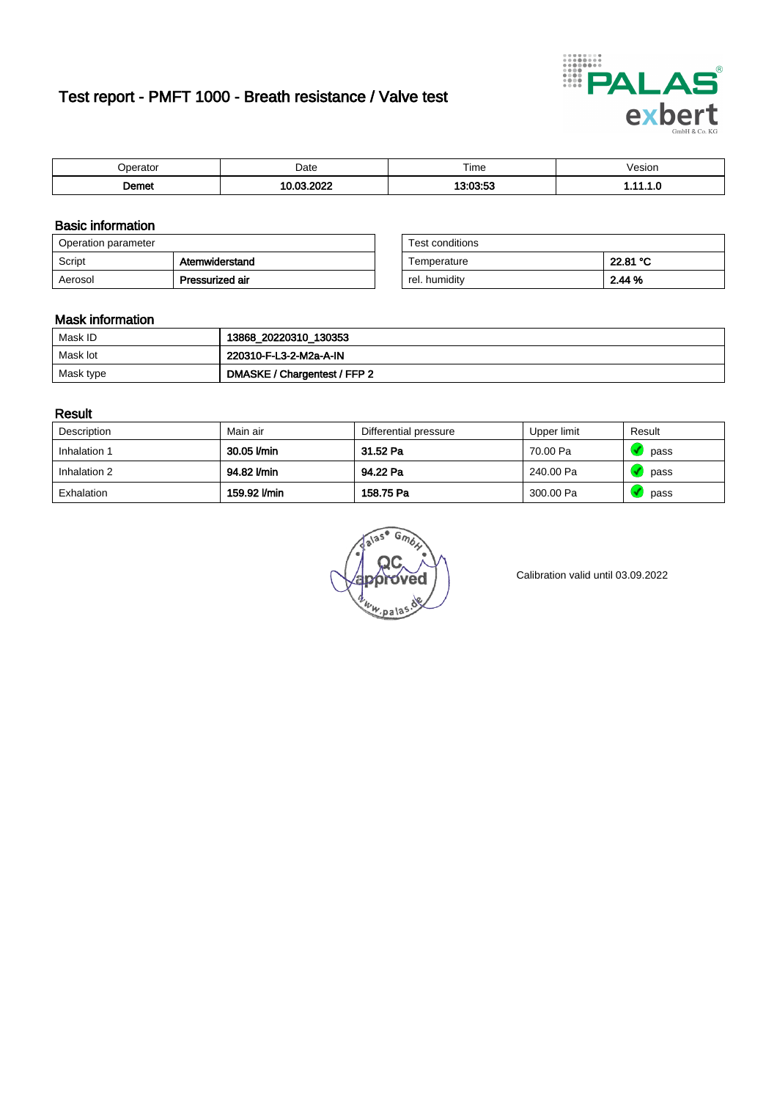# Test report - PMFT 1000 - Breath resistance / Valve test



| maxmax<br>ator | Date | $- \cdot$<br>Time | /esion |
|----------------|------|-------------------|--------|
| emet~          | 000  | 0.00.50           | .      |

### Basic information

| Operation parameter |                 | Test conditions |          |
|---------------------|-----------------|-----------------|----------|
| Script              | Atemwiderstand  | Temperature     | 22.81 °C |
| Aerosol             | Pressurized air | rel. humidity   | 2.44 %   |

| Test conditions |          |
|-----------------|----------|
| Temperature     | 22.81 °C |
| rel. humidity   | 2.44 %   |

#### Mask information

| Mask ID                | 13868_20220310_130353        |
|------------------------|------------------------------|
| Mask lot               | 220310-F-L3-2-M2a-A-IN       |
| <sup>'</sup> Mask type | DMASKE / Chargentest / FFP 2 |

### Result

| Description  | Main air     | Differential pressure | Upper limit | Result |
|--------------|--------------|-----------------------|-------------|--------|
| Inhalation 1 | 30.05 l/min  | 31.52 Pa              | 70.00 Pa    | pass   |
| Inhalation 2 | 94.82 l/min  | 94.22 Pa              | 240.00 Pa   | pass   |
| Exhalation   | 159.92 l/min | 158.75 Pa             | 300.00 Pa   | pass   |

w.pala

Calibration valid until 03.09.2022